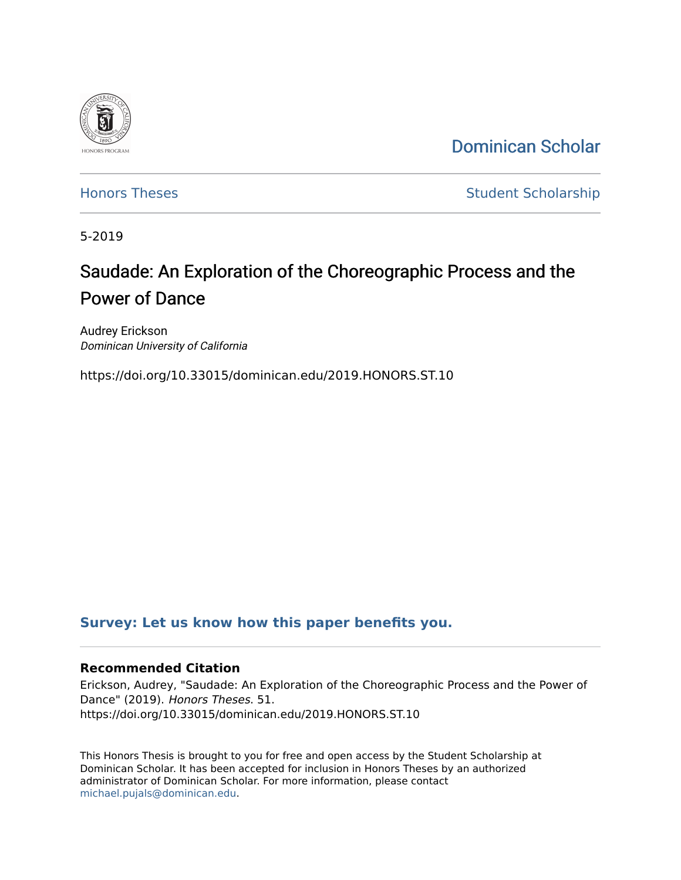

[Dominican Scholar](https://scholar.dominican.edu/) 

[Honors Theses](https://scholar.dominican.edu/honors-theses) **Student Scholarship** 

5-2019

# Saudade: An Exploration of the Choreographic Process and the Power of Dance

Audrey Erickson Dominican University of California

https://doi.org/10.33015/dominican.edu/2019.HONORS.ST.10

### **[Survey: Let us know how this paper benefits you.](https://dominican.libwizard.com/dominican-scholar-feedback)**

### **Recommended Citation**

Erickson, Audrey, "Saudade: An Exploration of the Choreographic Process and the Power of Dance" (2019). Honors Theses. 51. https://doi.org/10.33015/dominican.edu/2019.HONORS.ST.10

This Honors Thesis is brought to you for free and open access by the Student Scholarship at Dominican Scholar. It has been accepted for inclusion in Honors Theses by an authorized administrator of Dominican Scholar. For more information, please contact [michael.pujals@dominican.edu.](mailto:michael.pujals@dominican.edu)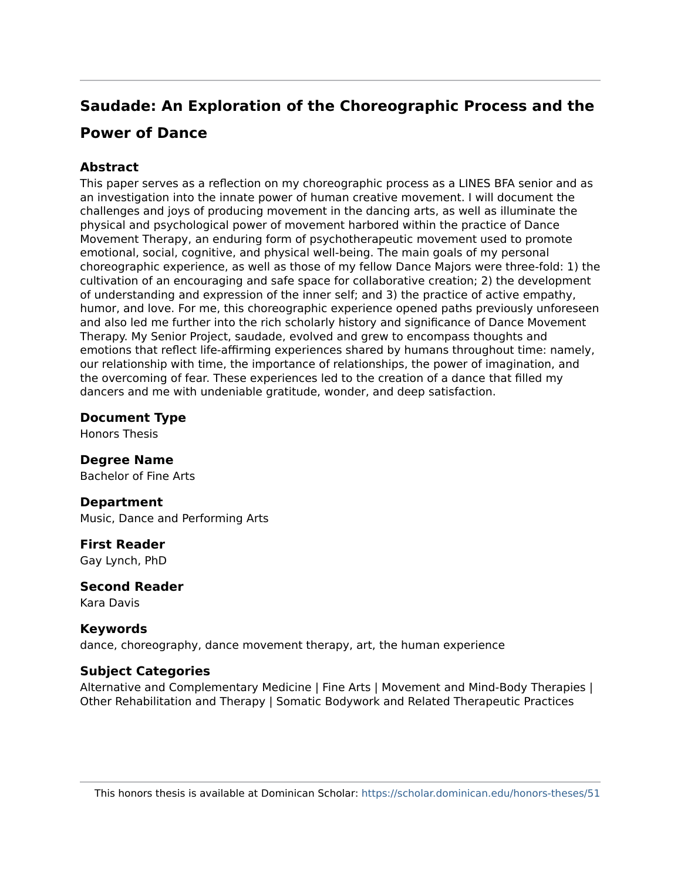## **Saudade: An Exploration of the Choreographic Process and the**

### **Power of Dance**

### **Abstract**

This paper serves as a reflection on my choreographic process as a LINES BFA senior and as an investigation into the innate power of human creative movement. I will document the challenges and joys of producing movement in the dancing arts, as well as illuminate the physical and psychological power of movement harbored within the practice of Dance Movement Therapy, an enduring form of psychotherapeutic movement used to promote emotional, social, cognitive, and physical well-being. The main goals of my personal choreographic experience, as well as those of my fellow Dance Majors were three-fold: 1) the cultivation of an encouraging and safe space for collaborative creation; 2) the development of understanding and expression of the inner self; and 3) the practice of active empathy, humor, and love. For me, this choreographic experience opened paths previously unforeseen and also led me further into the rich scholarly history and significance of Dance Movement Therapy. My Senior Project, saudade, evolved and grew to encompass thoughts and emotions that reflect life-affirming experiences shared by humans throughout time: namely, our relationship with time, the importance of relationships, the power of imagination, and the overcoming of fear. These experiences led to the creation of a dance that filled my dancers and me with undeniable gratitude, wonder, and deep satisfaction.

### **Document Type**

Honors Thesis

**Degree Name**  Bachelor of Fine Arts

### **Department**

Music, Dance and Performing Arts

**First Reader**  Gay Lynch, PhD

# **Second Reader**

Kara Davis

### **Keywords**

dance, choreography, dance movement therapy, art, the human experience

### **Subject Categories**

Alternative and Complementary Medicine | Fine Arts | Movement and Mind-Body Therapies | Other Rehabilitation and Therapy | Somatic Bodywork and Related Therapeutic Practices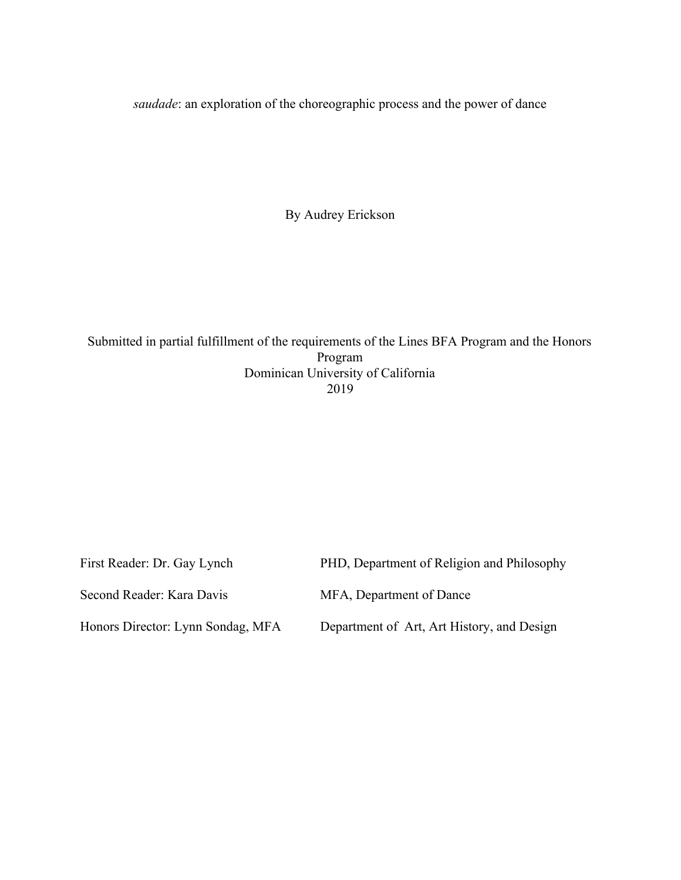*saudade*: an exploration of the choreographic process and the power of dance

By Audrey Erickson

Submitted in partial fulfillment of the requirements of the Lines BFA Program and the Honors Program Dominican University of California 2019

| First Reader: Dr. Gay Lynch       | PHD, Department of Religion and Philosophy |
|-----------------------------------|--------------------------------------------|
| Second Reader: Kara Davis         | MFA, Department of Dance                   |
| Honors Director: Lynn Sondag, MFA | Department of Art, Art History, and Design |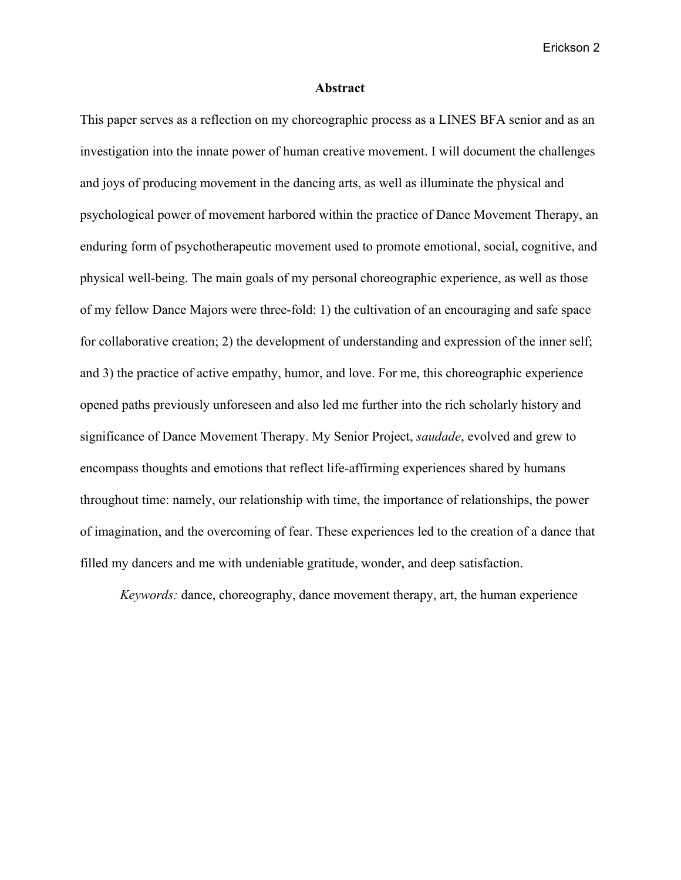#### **Abstract**

This paper serves as a reflection on my choreographic process as a LINES BFA senior and as an investigation into the innate power of human creative movement. I will document the challenges and joys of producing movement in the dancing arts, as well as illuminate the physical and psychological power of movement harbored within the practice of Dance Movement Therapy, an enduring form of psychotherapeutic movement used to promote emotional, social, cognitive, and physical well-being. The main goals of my personal choreographic experience, as well as those of my fellow Dance Majors were three-fold: 1) the cultivation of an encouraging and safe space for collaborative creation; 2) the development of understanding and expression of the inner self; and 3) the practice of active empathy, humor, and love. For me, this choreographic experience opened paths previously unforeseen and also led me further into the rich scholarly history and significance of Dance Movement Therapy. My Senior Project, *saudade*, evolved and grew to encompass thoughts and emotions that reflect life-affirming experiences shared by humans throughout time: namely, our relationship with time, the importance of relationships, the power of imagination, and the overcoming of fear. These experiences led to the creation of a dance that filled my dancers and me with undeniable gratitude, wonder, and deep satisfaction.

*Keywords:* dance, choreography, dance movement therapy, art, the human experience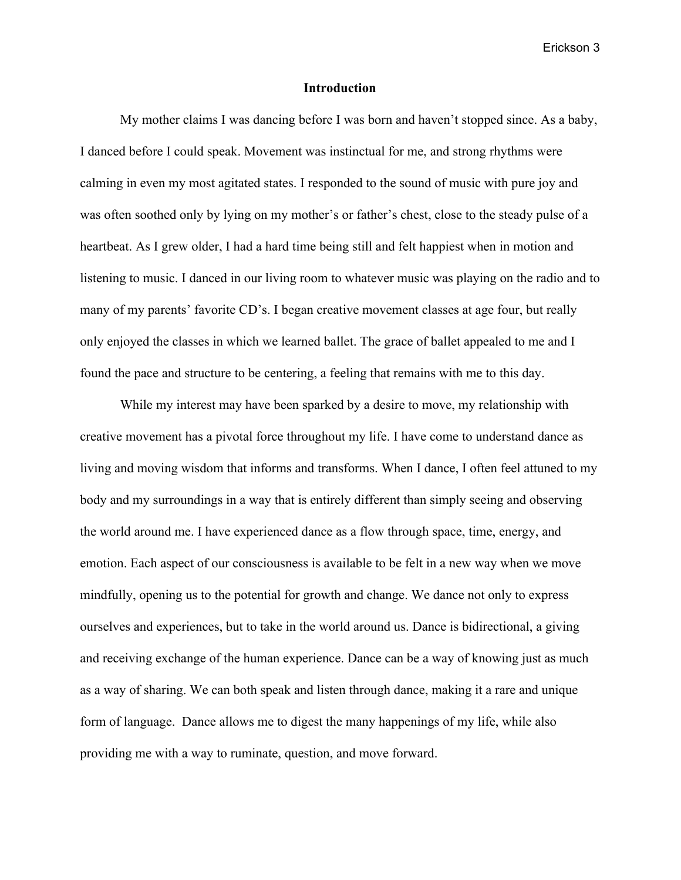#### **Introduction**

My mother claims I was dancing before I was born and haven't stopped since. As a baby, I danced before I could speak. Movement was instinctual for me, and strong rhythms were calming in even my most agitated states. I responded to the sound of music with pure joy and was often soothed only by lying on my mother's or father's chest, close to the steady pulse of a heartbeat. As I grew older, I had a hard time being still and felt happiest when in motion and listening to music. I danced in our living room to whatever music was playing on the radio and to many of my parents' favorite CD's. I began creative movement classes at age four, but really only enjoyed the classes in which we learned ballet. The grace of ballet appealed to me and I found the pace and structure to be centering, a feeling that remains with me to this day.

While my interest may have been sparked by a desire to move, my relationship with creative movement has a pivotal force throughout my life. I have come to understand dance as living and moving wisdom that informs and transforms. When I dance, I often feel attuned to my body and my surroundings in a way that is entirely different than simply seeing and observing the world around me. I have experienced dance as a flow through space, time, energy, and emotion. Each aspect of our consciousness is available to be felt in a new way when we move mindfully, opening us to the potential for growth and change. We dance not only to express ourselves and experiences, but to take in the world around us. Dance is bidirectional, a giving and receiving exchange of the human experience. Dance can be a way of knowing just as much as a way of sharing. We can both speak and listen through dance, making it a rare and unique form of language. Dance allows me to digest the many happenings of my life, while also providing me with a way to ruminate, question, and move forward.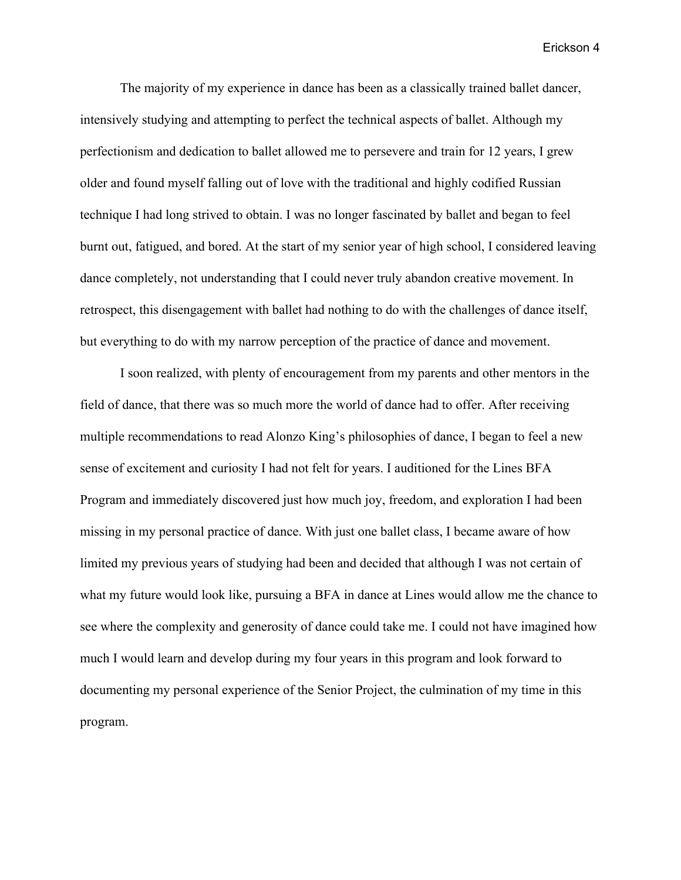The majority of my experience in dance has been as a classically trained ballet dancer, intensively studying and attempting to perfect the technical aspects of ballet. Although my perfectionism and dedication to ballet allowed me to persevere and train for 12 years, I grew older and found myself falling out of love with the traditional and highly codified Russian technique I had long strived to obtain. I was no longer fascinated by ballet and began to feel burnt out, fatigued, and bored. At the start of my senior year of high school, I considered leaving dance completely, not understanding that I could never truly abandon creative movement. In retrospect, this disengagement with ballet had nothing to do with the challenges of dance itself, but everything to do with my narrow perception of the practice of dance and movement.

I soon realized, with plenty of encouragement from my parents and other mentors in the field of dance, that there was so much more the world of dance had to offer. After receiving multiple recommendations to read Alonzo King's philosophies of dance, I began to feel a new sense of excitement and curiosity I had not felt for years. I auditioned for the Lines BFA Program and immediately discovered just how much joy, freedom, and exploration I had been missing in my personal practice of dance. With just one ballet class, I became aware of how limited my previous years of studying had been and decided that although I was not certain of what my future would look like, pursuing a BFA in dance at Lines would allow me the chance to see where the complexity and generosity of dance could take me. I could not have imagined how much I would learn and develop during my four years in this program and look forward to documenting my personal experience of the Senior Project, the culmination of my time in this program.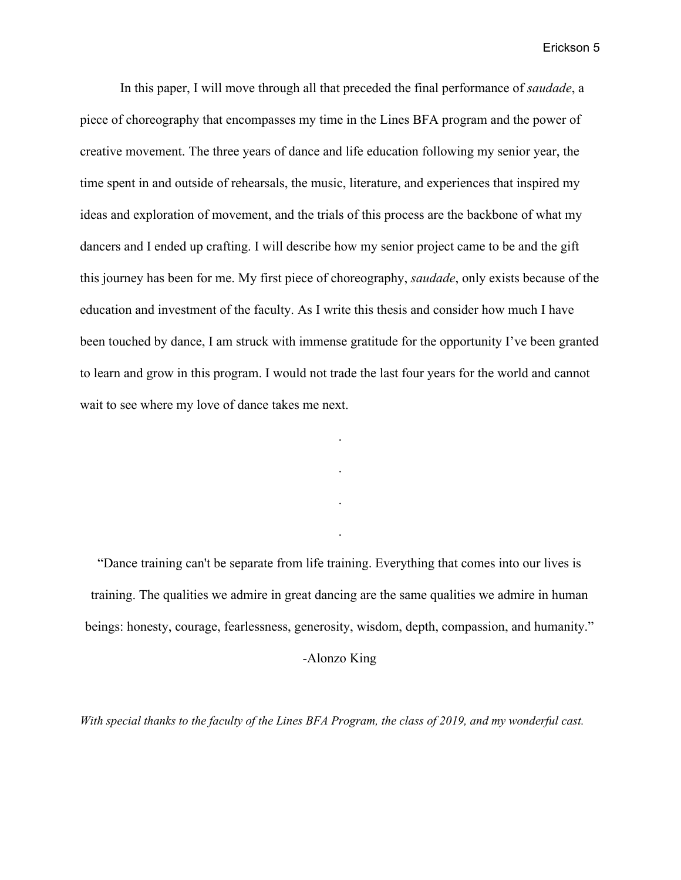In this paper, I will move through all that preceded the final performance of *saudade*, a piece of choreography that encompasses my time in the Lines BFA program and the power of creative movement. The three years of dance and life education following my senior year, the time spent in and outside of rehearsals, the music, literature, and experiences that inspired my ideas and exploration of movement, and the trials of this process are the backbone of what my dancers and I ended up crafting. I will describe how my senior project came to be and the gift this journey has been for me. My first piece of choreography, *saudade*, only exists because of the education and investment of the faculty. As I write this thesis and consider how much I have been touched by dance, I am struck with immense gratitude for the opportunity I've been granted to learn and grow in this program. I would not trade the last four years for the world and cannot wait to see where my love of dance takes me next.

"Dance training can't be separate from life training. Everything that comes into our lives is training. The qualities we admire in great dancing are the same qualities we admire in human beings: honesty, courage, fearlessness, generosity, wisdom, depth, compassion, and humanity."

.

.

.

.

-Alonzo King

With special thanks to the faculty of the Lines BFA Program, the class of 2019, and my wonderful cast.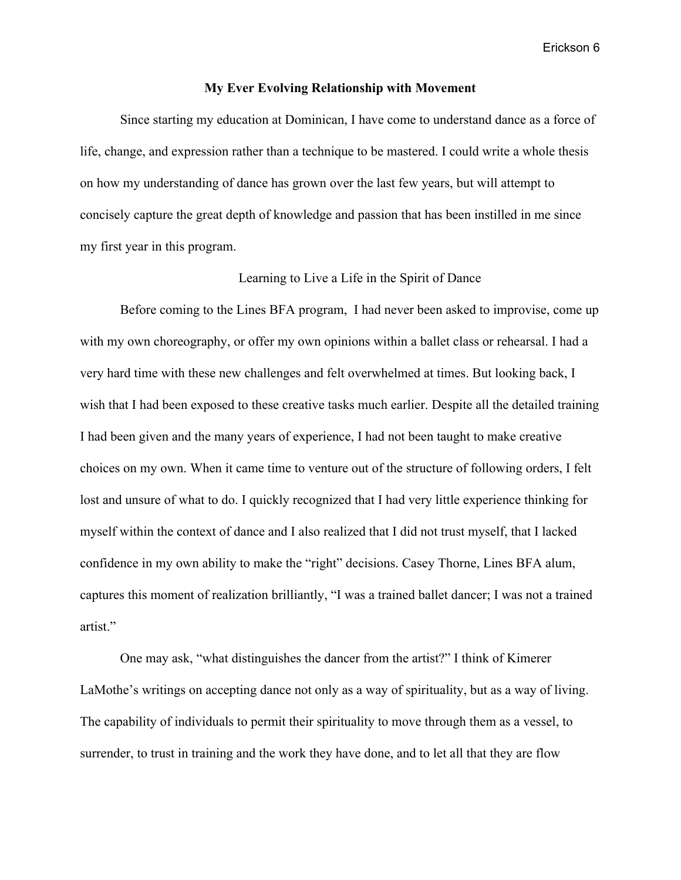#### **My Ever Evolving Relationship with Movement**

Since starting my education at Dominican, I have come to understand dance as a force of life, change, and expression rather than a technique to be mastered. I could write a whole thesis on how my understanding of dance has grown over the last few years, but will attempt to concisely capture the great depth of knowledge and passion that has been instilled in me since my first year in this program.

#### Learning to Live a Life in the Spirit of Dance

Before coming to the Lines BFA program, I had never been asked to improvise, come up with my own choreography, or offer my own opinions within a ballet class or rehearsal. I had a very hard time with these new challenges and felt overwhelmed at times. But looking back, I wish that I had been exposed to these creative tasks much earlier. Despite all the detailed training I had been given and the many years of experience, I had not been taught to make creative choices on my own. When it came time to venture out of the structure of following orders, I felt lost and unsure of what to do. I quickly recognized that I had very little experience thinking for myself within the context of dance and I also realized that I did not trust myself, that I lacked confidence in my own ability to make the "right" decisions. Casey Thorne, Lines BFA alum, captures this moment of realization brilliantly, "I was a trained ballet dancer; I was not a trained artist."

One may ask, "what distinguishes the dancer from the artist?" I think of Kimerer LaMothe's writings on accepting dance not only as a way of spirituality, but as a way of living. The capability of individuals to permit their spirituality to move through them as a vessel, to surrender, to trust in training and the work they have done, and to let all that they are flow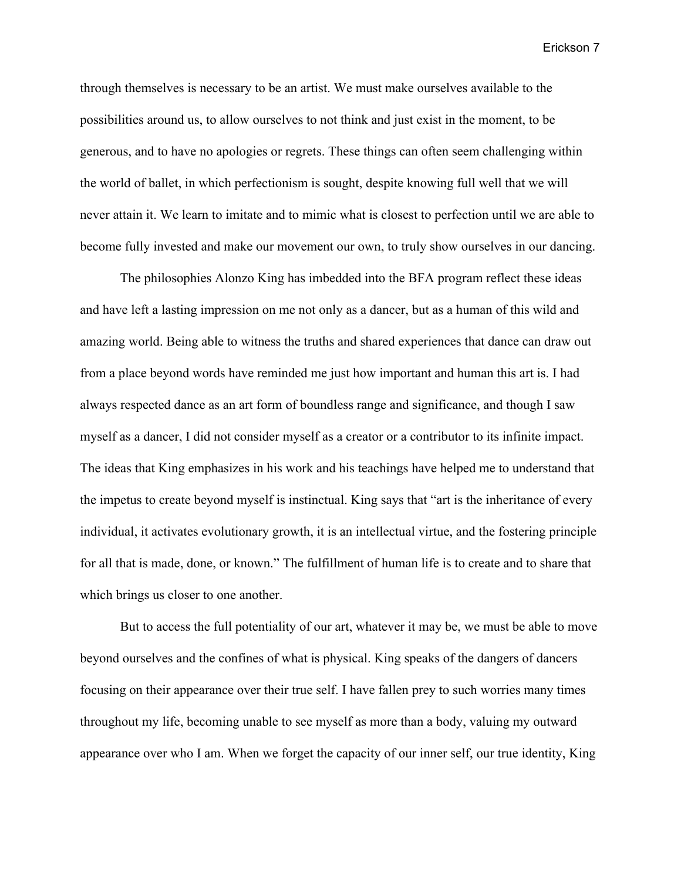through themselves is necessary to be an artist. We must make ourselves available to the possibilities around us, to allow ourselves to not think and just exist in the moment, to be generous, and to have no apologies or regrets. These things can often seem challenging within the world of ballet, in which perfectionism is sought, despite knowing full well that we will never attain it. We learn to imitate and to mimic what is closest to perfection until we are able to become fully invested and make our movement our own, to truly show ourselves in our dancing.

The philosophies Alonzo King has imbedded into the BFA program reflect these ideas and have left a lasting impression on me not only as a dancer, but as a human of this wild and amazing world. Being able to witness the truths and shared experiences that dance can draw out from a place beyond words have reminded me just how important and human this art is. I had always respected dance as an art form of boundless range and significance, and though I saw myself as a dancer, I did not consider myself as a creator or a contributor to its infinite impact. The ideas that King emphasizes in his work and his teachings have helped me to understand that the impetus to create beyond myself is instinctual. King says that "art is the inheritance of every individual, it activates evolutionary growth, it is an intellectual virtue, and the fostering principle for all that is made, done, or known." The fulfillment of human life is to create and to share that which brings us closer to one another.

But to access the full potentiality of our art, whatever it may be, we must be able to move beyond ourselves and the confines of what is physical. King speaks of the dangers of dancers focusing on their appearance over their true self. I have fallen prey to such worries many times throughout my life, becoming unable to see myself as more than a body, valuing my outward appearance over who I am. When we forget the capacity of our inner self, our true identity, King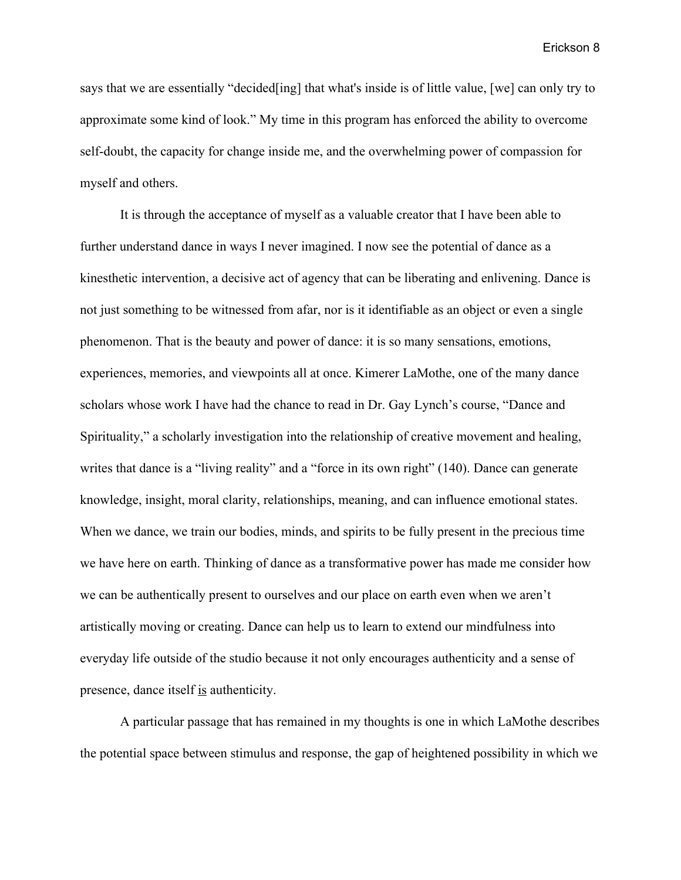says that we are essentially "decided[ing] that what's inside is of little value, [we] can only try to approximate some kind of look." My time in this program has enforced the ability to overcome self-doubt, the capacity for change inside me, and the overwhelming power of compassion for myself and others.

It is through the acceptance of myself as a valuable creator that I have been able to further understand dance in ways I never imagined. I now see the potential of dance as a kinesthetic intervention, a decisive act of agency that can be liberating and enlivening. Dance is not just something to be witnessed from afar, nor is it identifiable as an object or even a single phenomenon. That is the beauty and power of dance: it is so many sensations, emotions, experiences, memories, and viewpoints all at once. Kimerer LaMothe, one of the many dance scholars whose work I have had the chance to read in Dr. Gay Lynch's course, "Dance and Spirituality," a scholarly investigation into the relationship of creative movement and healing, writes that dance is a "living reality" and a "force in its own right" (140). Dance can generate knowledge, insight, moral clarity, relationships, meaning, and can influence emotional states. When we dance, we train our bodies, minds, and spirits to be fully present in the precious time we have here on earth. Thinking of dance as a transformative power has made me consider how we can be authentically present to ourselves and our place on earth even when we aren't artistically moving or creating. Dance can help us to learn to extend our mindfulness into everyday life outside of the studio because it not only encourages authenticity and a sense of presence, dance itself is authenticity.

A particular passage that has remained in my thoughts is one in which LaMothe describes the potential space between stimulus and response, the gap of heightened possibility in which we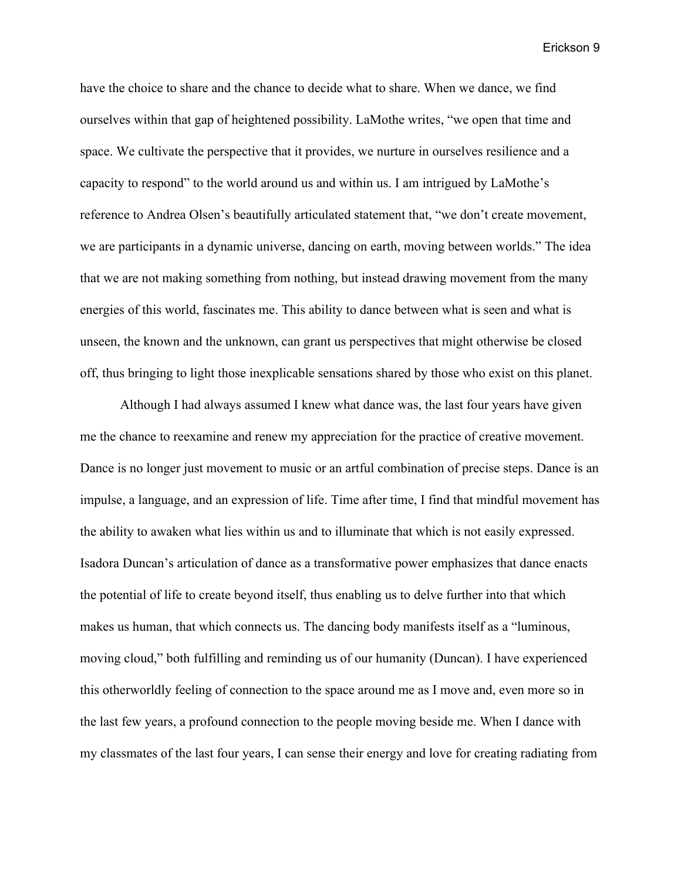have the choice to share and the chance to decide what to share. When we dance, we find ourselves within that gap of heightened possibility. LaMothe writes, "we open that time and space. We cultivate the perspective that it provides, we nurture in ourselves resilience and a capacity to respond" to the world around us and within us. I am intrigued by LaMothe's reference to Andrea Olsen's beautifully articulated statement that, "we don't create movement, we are participants in a dynamic universe, dancing on earth, moving between worlds." The idea that we are not making something from nothing, but instead drawing movement from the many energies of this world, fascinates me. This ability to dance between what is seen and what is unseen, the known and the unknown, can grant us perspectives that might otherwise be closed off, thus bringing to light those inexplicable sensations shared by those who exist on this planet.

Although I had always assumed I knew what dance was, the last four years have given me the chance to reexamine and renew my appreciation for the practice of creative movement. Dance is no longer just movement to music or an artful combination of precise steps. Dance is an impulse, a language, and an expression of life. Time after time, I find that mindful movement has the ability to awaken what lies within us and to illuminate that which is not easily expressed. Isadora Duncan's articulation of dance as a transformative power emphasizes that dance enacts the potential of life to create beyond itself, thus enabling us to delve further into that which makes us human, that which connects us. The dancing body manifests itself as a "luminous, moving cloud," both fulfilling and reminding us of our humanity (Duncan). I have experienced this otherworldly feeling of connection to the space around me as I move and, even more so in the last few years, a profound connection to the people moving beside me. When I dance with my classmates of the last four years, I can sense their energy and love for creating radiating from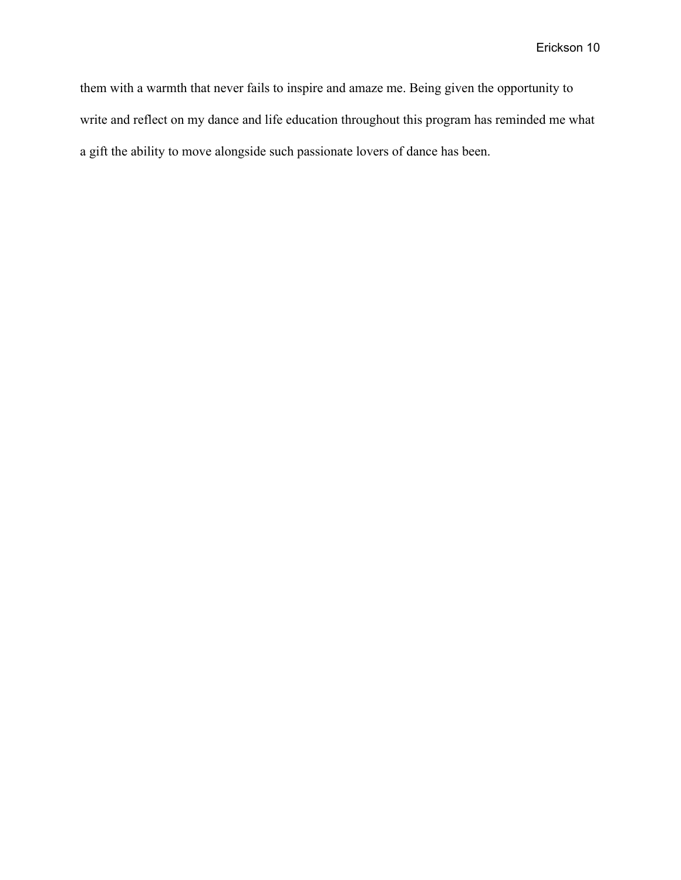them with a warmth that never fails to inspire and amaze me. Being given the opportunity to write and reflect on my dance and life education throughout this program has reminded me what a gift the ability to move alongside such passionate lovers of dance has been.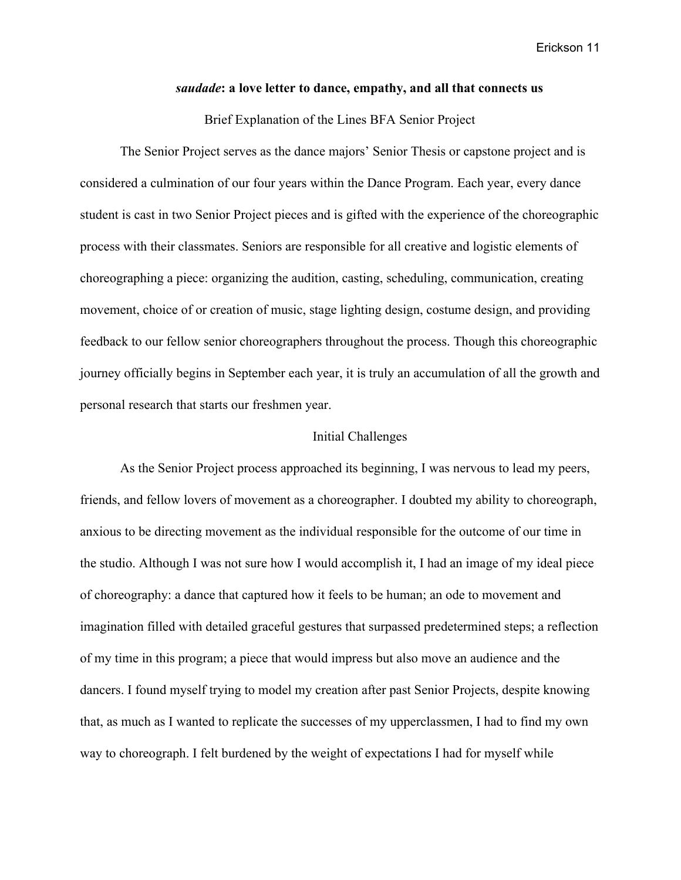#### *saudade***: a love letter to dance, empathy, and all that connects us**

#### Brief Explanation of the Lines BFA Senior Project

The Senior Project serves as the dance majors' Senior Thesis or capstone project and is considered a culmination of our four years within the Dance Program. Each year, every dance student is cast in two Senior Project pieces and is gifted with the experience of the choreographic process with their classmates. Seniors are responsible for all creative and logistic elements of choreographing a piece: organizing the audition, casting, scheduling, communication, creating movement, choice of or creation of music, stage lighting design, costume design, and providing feedback to our fellow senior choreographers throughout the process. Though this choreographic journey officially begins in September each year, it is truly an accumulation of all the growth and personal research that starts our freshmen year.

#### Initial Challenges

As the Senior Project process approached its beginning, I was nervous to lead my peers, friends, and fellow lovers of movement as a choreographer. I doubted my ability to choreograph, anxious to be directing movement as the individual responsible for the outcome of our time in the studio. Although I was not sure how I would accomplish it, I had an image of my ideal piece of choreography: a dance that captured how it feels to be human; an ode to movement and imagination filled with detailed graceful gestures that surpassed predetermined steps; a reflection of my time in this program; a piece that would impress but also move an audience and the dancers. I found myself trying to model my creation after past Senior Projects, despite knowing that, as much as I wanted to replicate the successes of my upperclassmen, I had to find my own way to choreograph. I felt burdened by the weight of expectations I had for myself while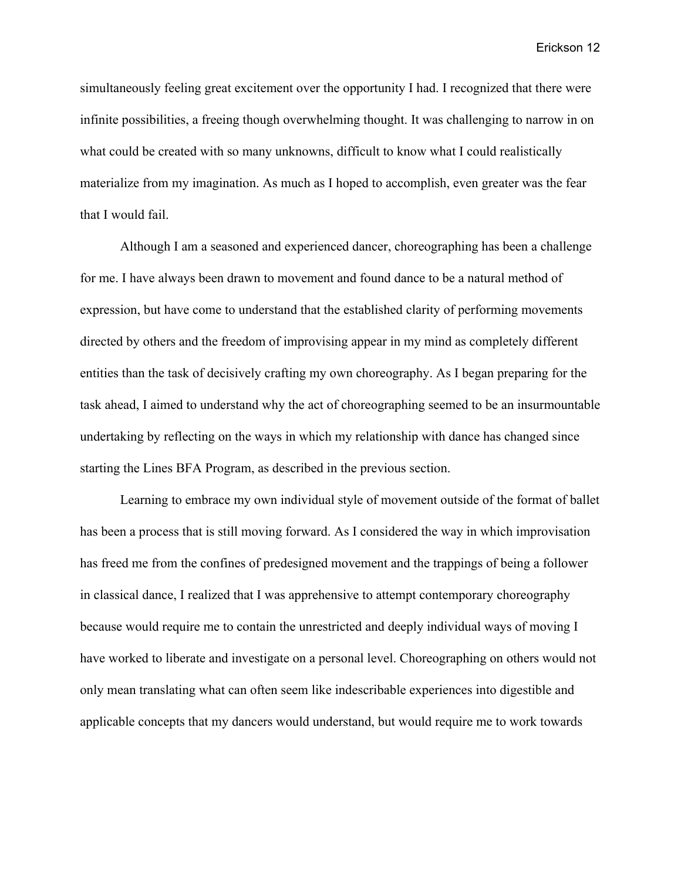simultaneously feeling great excitement over the opportunity I had. I recognized that there were infinite possibilities, a freeing though overwhelming thought. It was challenging to narrow in on what could be created with so many unknowns, difficult to know what I could realistically materialize from my imagination. As much as I hoped to accomplish, even greater was the fear that I would fail.

Although I am a seasoned and experienced dancer, choreographing has been a challenge for me. I have always been drawn to movement and found dance to be a natural method of expression, but have come to understand that the established clarity of performing movements directed by others and the freedom of improvising appear in my mind as completely different entities than the task of decisively crafting my own choreography. As I began preparing for the task ahead, I aimed to understand why the act of choreographing seemed to be an insurmountable undertaking by reflecting on the ways in which my relationship with dance has changed since starting the Lines BFA Program, as described in the previous section.

Learning to embrace my own individual style of movement outside of the format of ballet has been a process that is still moving forward. As I considered the way in which improvisation has freed me from the confines of predesigned movement and the trappings of being a follower in classical dance, I realized that I was apprehensive to attempt contemporary choreography because would require me to contain the unrestricted and deeply individual ways of moving I have worked to liberate and investigate on a personal level. Choreographing on others would not only mean translating what can often seem like indescribable experiences into digestible and applicable concepts that my dancers would understand, but would require me to work towards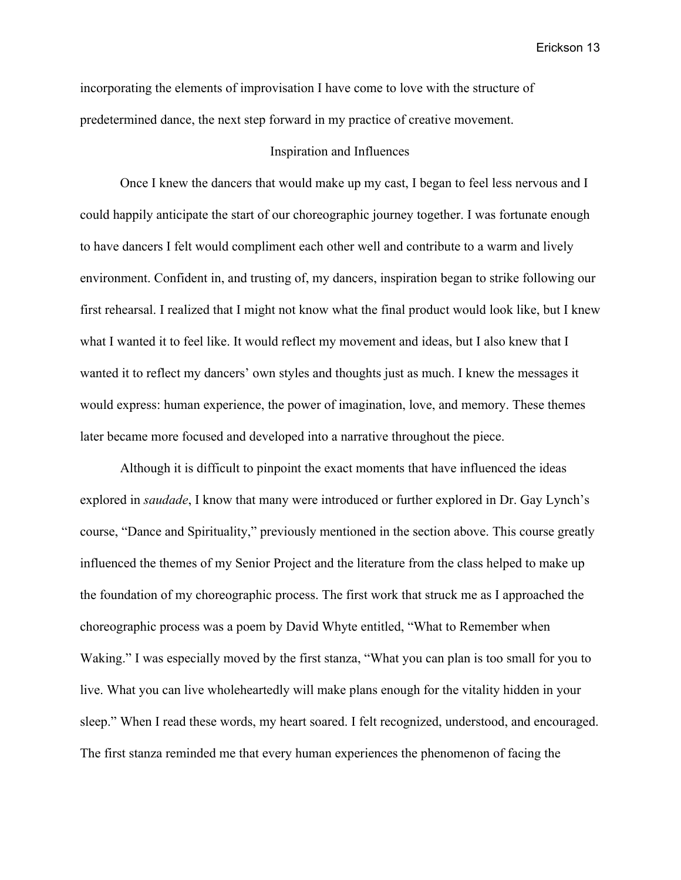incorporating the elements of improvisation I have come to love with the structure of predetermined dance, the next step forward in my practice of creative movement.

#### Inspiration and Influences

Once I knew the dancers that would make up my cast, I began to feel less nervous and I could happily anticipate the start of our choreographic journey together. I was fortunate enough to have dancers I felt would compliment each other well and contribute to a warm and lively environment. Confident in, and trusting of, my dancers, inspiration began to strike following our first rehearsal. I realized that I might not know what the final product would look like, but I knew what I wanted it to feel like. It would reflect my movement and ideas, but I also knew that I wanted it to reflect my dancers' own styles and thoughts just as much. I knew the messages it would express: human experience, the power of imagination, love, and memory. These themes later became more focused and developed into a narrative throughout the piece.

Although it is difficult to pinpoint the exact moments that have influenced the ideas explored in *saudade*, I know that many were introduced or further explored in Dr. Gay Lynch's course, "Dance and Spirituality," previously mentioned in the section above. This course greatly influenced the themes of my Senior Project and the literature from the class helped to make up the foundation of my choreographic process. The first work that struck me as I approached the choreographic process was a poem by David Whyte entitled, "What to Remember when Waking." I was especially moved by the first stanza, "What you can plan is too small for you to live. What you can live wholeheartedly will make plans enough for the vitality hidden in your sleep." When I read these words, my heart soared. I felt recognized, understood, and encouraged. The first stanza reminded me that every human experiences the phenomenon of facing the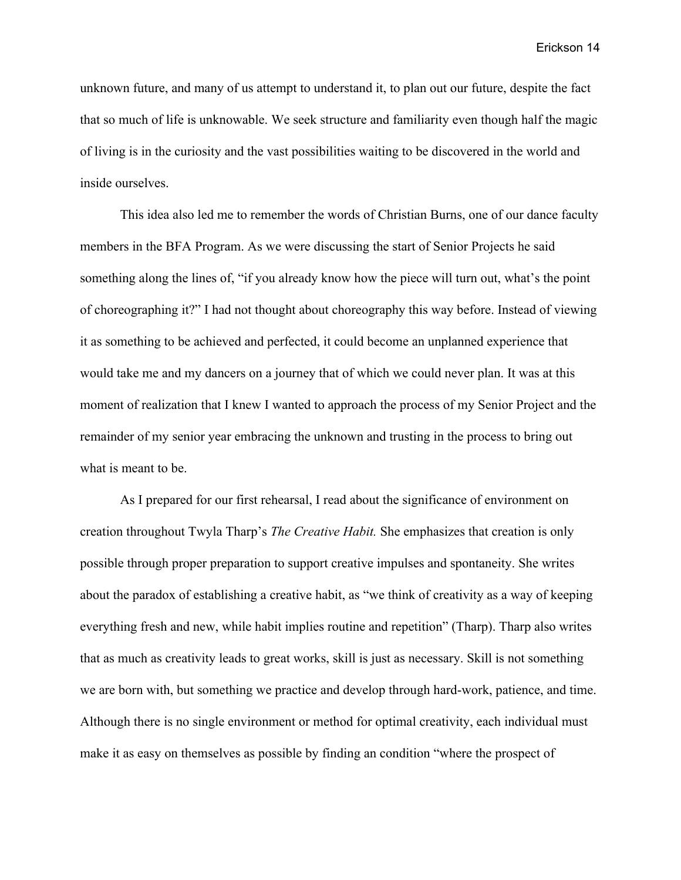unknown future, and many of us attempt to understand it, to plan out our future, despite the fact that so much of life is unknowable. We seek structure and familiarity even though half the magic of living is in the curiosity and the vast possibilities waiting to be discovered in the world and inside ourselves.

This idea also led me to remember the words of Christian Burns, one of our dance faculty members in the BFA Program. As we were discussing the start of Senior Projects he said something along the lines of, "if you already know how the piece will turn out, what's the point of choreographing it?" I had not thought about choreography this way before. Instead of viewing it as something to be achieved and perfected, it could become an unplanned experience that would take me and my dancers on a journey that of which we could never plan. It was at this moment of realization that I knew I wanted to approach the process of my Senior Project and the remainder of my senior year embracing the unknown and trusting in the process to bring out what is meant to be.

As I prepared for our first rehearsal, I read about the significance of environment on creation throughout Twyla Tharp's *The Creative Habit.* She emphasizes that creation is only possible through proper preparation to support creative impulses and spontaneity. She writes about the paradox of establishing a creative habit, as "we think of creativity as a way of keeping everything fresh and new, while habit implies routine and repetition" (Tharp). Tharp also writes that as much as creativity leads to great works, skill is just as necessary. Skill is not something we are born with, but something we practice and develop through hard-work, patience, and time. Although there is no single environment or method for optimal creativity, each individual must make it as easy on themselves as possible by finding an condition "where the prospect of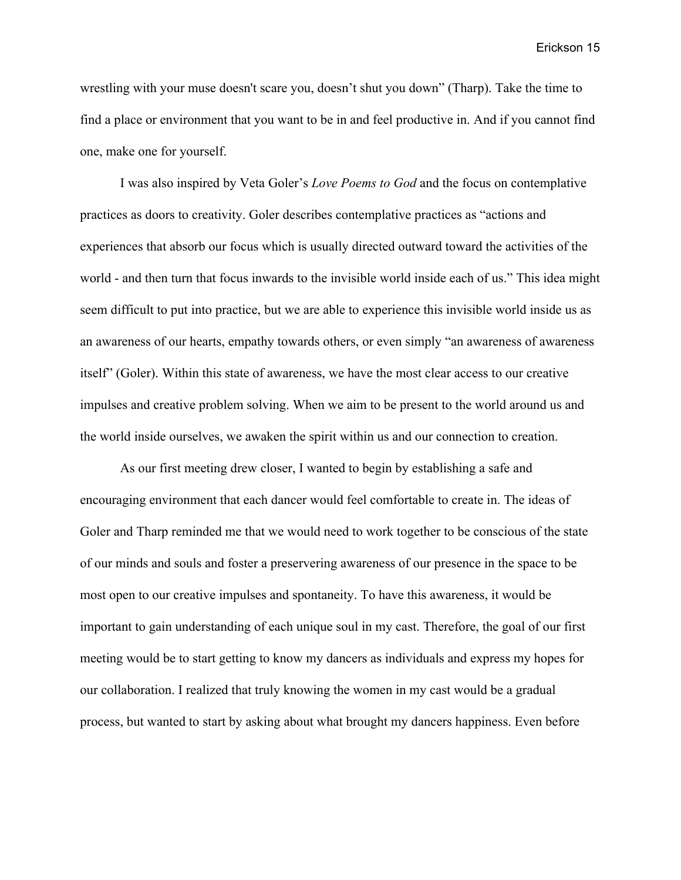wrestling with your muse doesn't scare you, doesn't shut you down" (Tharp). Take the time to find a place or environment that you want to be in and feel productive in. And if you cannot find one, make one for yourself.

I was also inspired by Veta Goler's *Love Poems to God* and the focus on contemplative practices as doors to creativity. Goler describes contemplative practices as "actions and experiences that absorb our focus which is usually directed outward toward the activities of the world - and then turn that focus inwards to the invisible world inside each of us." This idea might seem difficult to put into practice, but we are able to experience this invisible world inside us as an awareness of our hearts, empathy towards others, or even simply "an awareness of awareness itself" (Goler). Within this state of awareness, we have the most clear access to our creative impulses and creative problem solving. When we aim to be present to the world around us and the world inside ourselves, we awaken the spirit within us and our connection to creation.

As our first meeting drew closer, I wanted to begin by establishing a safe and encouraging environment that each dancer would feel comfortable to create in. The ideas of Goler and Tharp reminded me that we would need to work together to be conscious of the state of our minds and souls and foster a preservering awareness of our presence in the space to be most open to our creative impulses and spontaneity. To have this awareness, it would be important to gain understanding of each unique soul in my cast. Therefore, the goal of our first meeting would be to start getting to know my dancers as individuals and express my hopes for our collaboration. I realized that truly knowing the women in my cast would be a gradual process, but wanted to start by asking about what brought my dancers happiness. Even before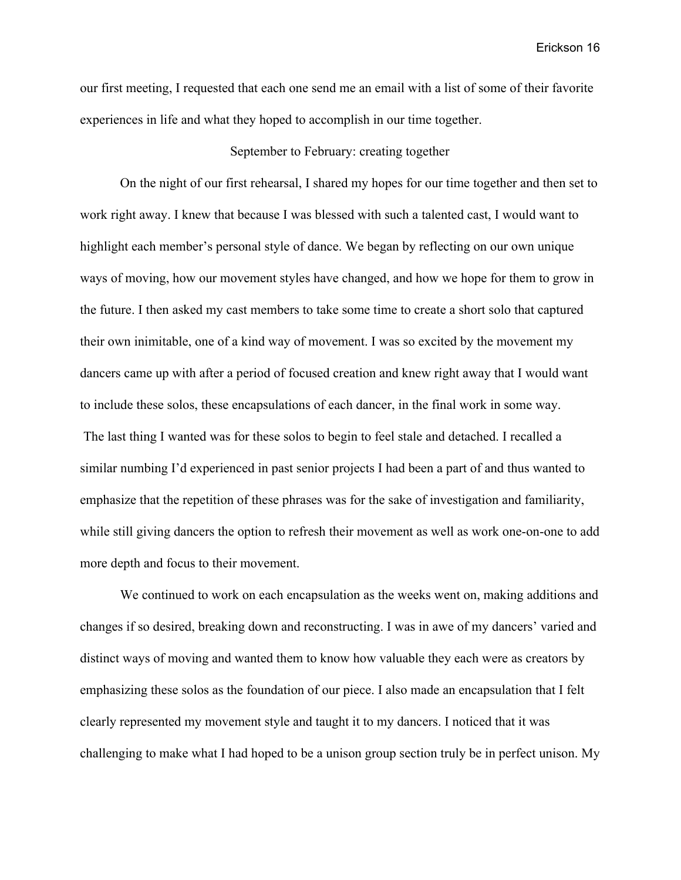our first meeting, I requested that each one send me an email with a list of some of their favorite experiences in life and what they hoped to accomplish in our time together.

#### September to February: creating together

On the night of our first rehearsal, I shared my hopes for our time together and then set to work right away. I knew that because I was blessed with such a talented cast, I would want to highlight each member's personal style of dance. We began by reflecting on our own unique ways of moving, how our movement styles have changed, and how we hope for them to grow in the future. I then asked my cast members to take some time to create a short solo that captured their own inimitable, one of a kind way of movement. I was so excited by the movement my dancers came up with after a period of focused creation and knew right away that I would want to include these solos, these encapsulations of each dancer, in the final work in some way. The last thing I wanted was for these solos to begin to feel stale and detached. I recalled a similar numbing I'd experienced in past senior projects I had been a part of and thus wanted to emphasize that the repetition of these phrases was for the sake of investigation and familiarity, while still giving dancers the option to refresh their movement as well as work one-on-one to add more depth and focus to their movement.

We continued to work on each encapsulation as the weeks went on, making additions and changes if so desired, breaking down and reconstructing. I was in awe of my dancers' varied and distinct ways of moving and wanted them to know how valuable they each were as creators by emphasizing these solos as the foundation of our piece. I also made an encapsulation that I felt clearly represented my movement style and taught it to my dancers. I noticed that it was challenging to make what I had hoped to be a unison group section truly be in perfect unison. My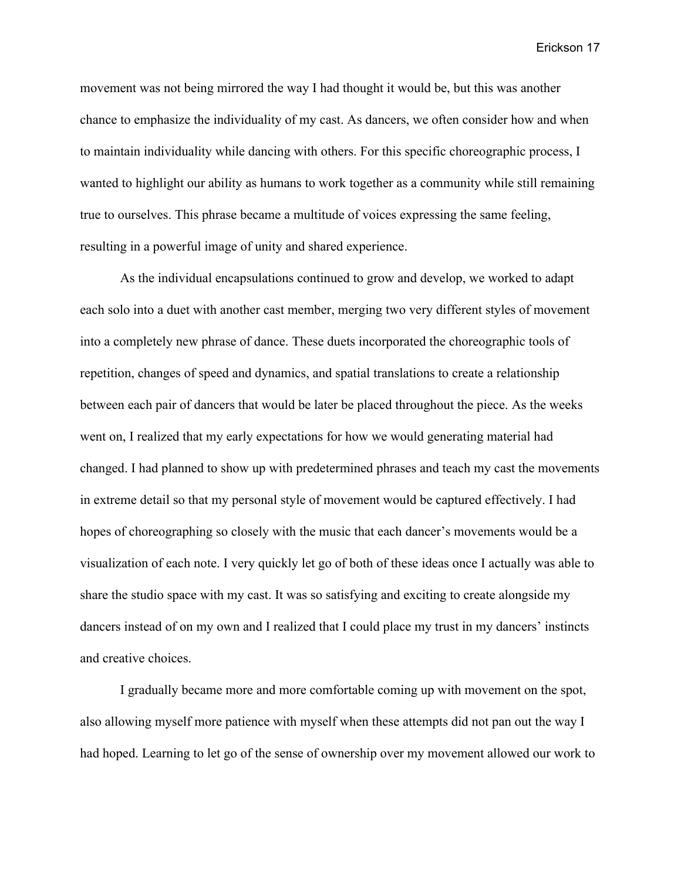movement was not being mirrored the way I had thought it would be, but this was another chance to emphasize the individuality of my cast. As dancers, we often consider how and when to maintain individuality while dancing with others. For this specific choreographic process, I wanted to highlight our ability as humans to work together as a community while still remaining true to ourselves. This phrase became a multitude of voices expressing the same feeling, resulting in a powerful image of unity and shared experience.

As the individual encapsulations continued to grow and develop, we worked to adapt each solo into a duet with another cast member, merging two very different styles of movement into a completely new phrase of dance. These duets incorporated the choreographic tools of repetition, changes of speed and dynamics, and spatial translations to create a relationship between each pair of dancers that would be later be placed throughout the piece. As the weeks went on, I realized that my early expectations for how we would generating material had changed. I had planned to show up with predetermined phrases and teach my cast the movements in extreme detail so that my personal style of movement would be captured effectively. I had hopes of choreographing so closely with the music that each dancer's movements would be a visualization of each note. I very quickly let go of both of these ideas once I actually was able to share the studio space with my cast. It was so satisfying and exciting to create alongside my dancers instead of on my own and I realized that I could place my trust in my dancers' instincts and creative choices.

I gradually became more and more comfortable coming up with movement on the spot, also allowing myself more patience with myself when these attempts did not pan out the way I had hoped. Learning to let go of the sense of ownership over my movement allowed our work to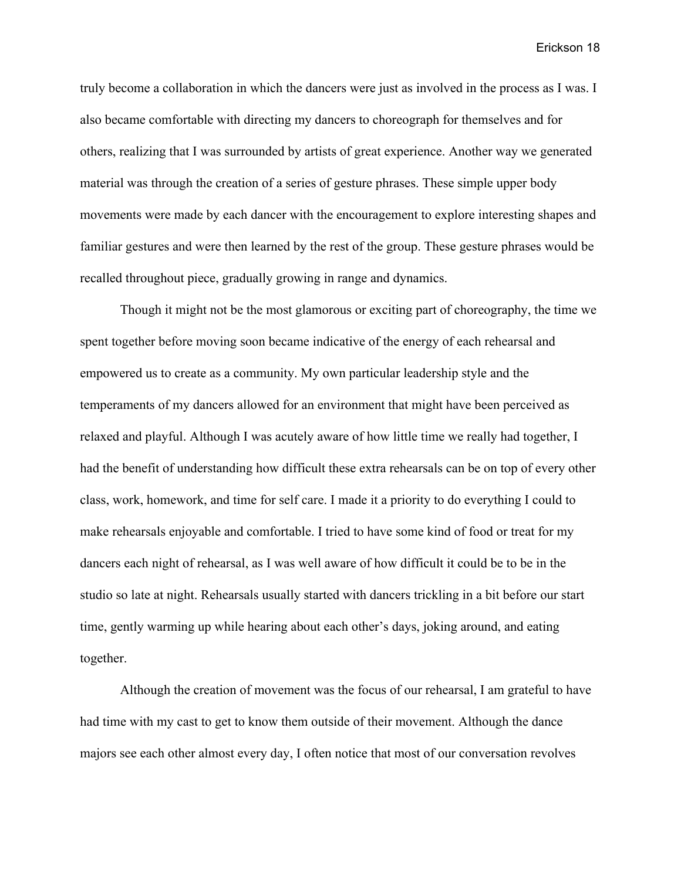truly become a collaboration in which the dancers were just as involved in the process as I was. I also became comfortable with directing my dancers to choreograph for themselves and for others, realizing that I was surrounded by artists of great experience. Another way we generated material was through the creation of a series of gesture phrases. These simple upper body movements were made by each dancer with the encouragement to explore interesting shapes and familiar gestures and were then learned by the rest of the group. These gesture phrases would be recalled throughout piece, gradually growing in range and dynamics.

Though it might not be the most glamorous or exciting part of choreography, the time we spent together before moving soon became indicative of the energy of each rehearsal and empowered us to create as a community. My own particular leadership style and the temperaments of my dancers allowed for an environment that might have been perceived as relaxed and playful. Although I was acutely aware of how little time we really had together, I had the benefit of understanding how difficult these extra rehearsals can be on top of every other class, work, homework, and time for self care. I made it a priority to do everything I could to make rehearsals enjoyable and comfortable. I tried to have some kind of food or treat for my dancers each night of rehearsal, as I was well aware of how difficult it could be to be in the studio so late at night. Rehearsals usually started with dancers trickling in a bit before our start time, gently warming up while hearing about each other's days, joking around, and eating together.

Although the creation of movement was the focus of our rehearsal, I am grateful to have had time with my cast to get to know them outside of their movement. Although the dance majors see each other almost every day, I often notice that most of our conversation revolves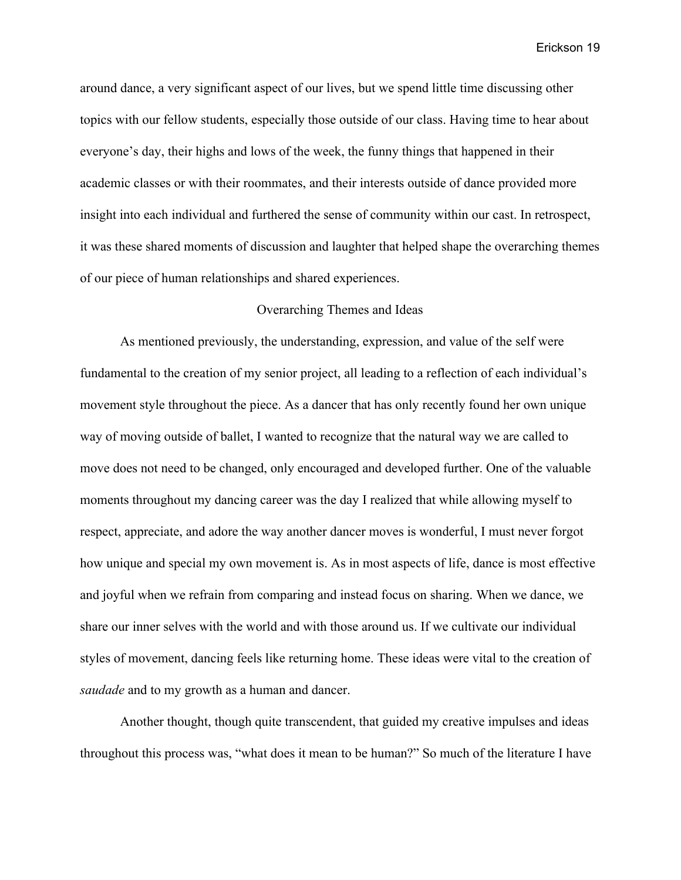around dance, a very significant aspect of our lives, but we spend little time discussing other topics with our fellow students, especially those outside of our class. Having time to hear about everyone's day, their highs and lows of the week, the funny things that happened in their academic classes or with their roommates, and their interests outside of dance provided more insight into each individual and furthered the sense of community within our cast. In retrospect, it was these shared moments of discussion and laughter that helped shape the overarching themes of our piece of human relationships and shared experiences.

#### Overarching Themes and Ideas

As mentioned previously, the understanding, expression, and value of the self were fundamental to the creation of my senior project, all leading to a reflection of each individual's movement style throughout the piece. As a dancer that has only recently found her own unique way of moving outside of ballet, I wanted to recognize that the natural way we are called to move does not need to be changed, only encouraged and developed further. One of the valuable moments throughout my dancing career was the day I realized that while allowing myself to respect, appreciate, and adore the way another dancer moves is wonderful, I must never forgot how unique and special my own movement is. As in most aspects of life, dance is most effective and joyful when we refrain from comparing and instead focus on sharing. When we dance, we share our inner selves with the world and with those around us. If we cultivate our individual styles of movement, dancing feels like returning home. These ideas were vital to the creation of *saudade* and to my growth as a human and dancer.

Another thought, though quite transcendent, that guided my creative impulses and ideas throughout this process was, "what does it mean to be human?" So much of the literature I have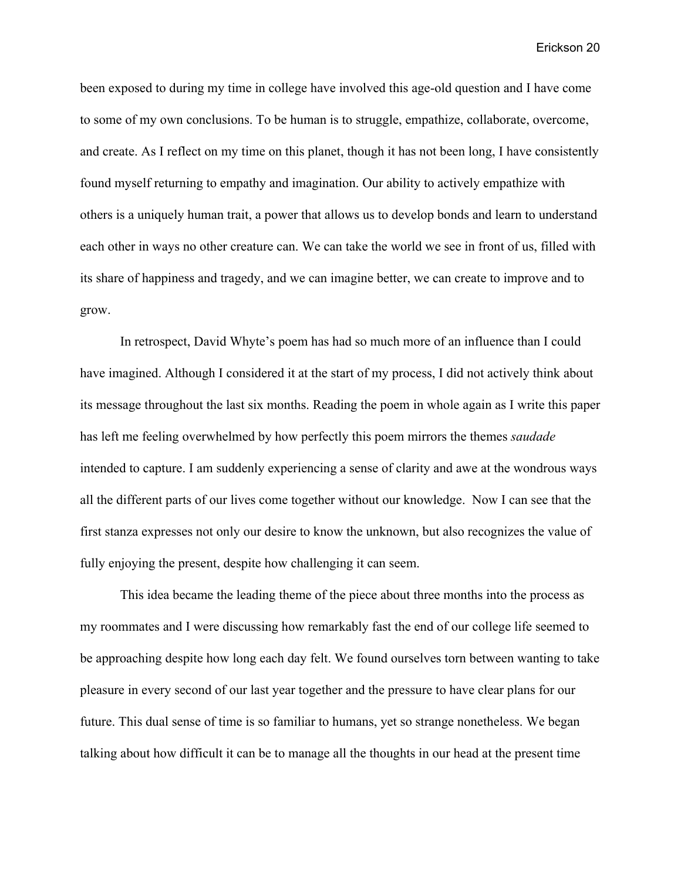been exposed to during my time in college have involved this age-old question and I have come to some of my own conclusions. To be human is to struggle, empathize, collaborate, overcome, and create. As I reflect on my time on this planet, though it has not been long, I have consistently found myself returning to empathy and imagination. Our ability to actively empathize with others is a uniquely human trait, a power that allows us to develop bonds and learn to understand each other in ways no other creature can. We can take the world we see in front of us, filled with its share of happiness and tragedy, and we can imagine better, we can create to improve and to grow.

In retrospect, David Whyte's poem has had so much more of an influence than I could have imagined. Although I considered it at the start of my process, I did not actively think about its message throughout the last six months. Reading the poem in whole again as I write this paper has left me feeling overwhelmed by how perfectly this poem mirrors the themes *saudade* intended to capture. I am suddenly experiencing a sense of clarity and awe at the wondrous ways all the different parts of our lives come together without our knowledge. Now I can see that the first stanza expresses not only our desire to know the unknown, but also recognizes the value of fully enjoying the present, despite how challenging it can seem.

This idea became the leading theme of the piece about three months into the process as my roommates and I were discussing how remarkably fast the end of our college life seemed to be approaching despite how long each day felt. We found ourselves torn between wanting to take pleasure in every second of our last year together and the pressure to have clear plans for our future. This dual sense of time is so familiar to humans, yet so strange nonetheless. We began talking about how difficult it can be to manage all the thoughts in our head at the present time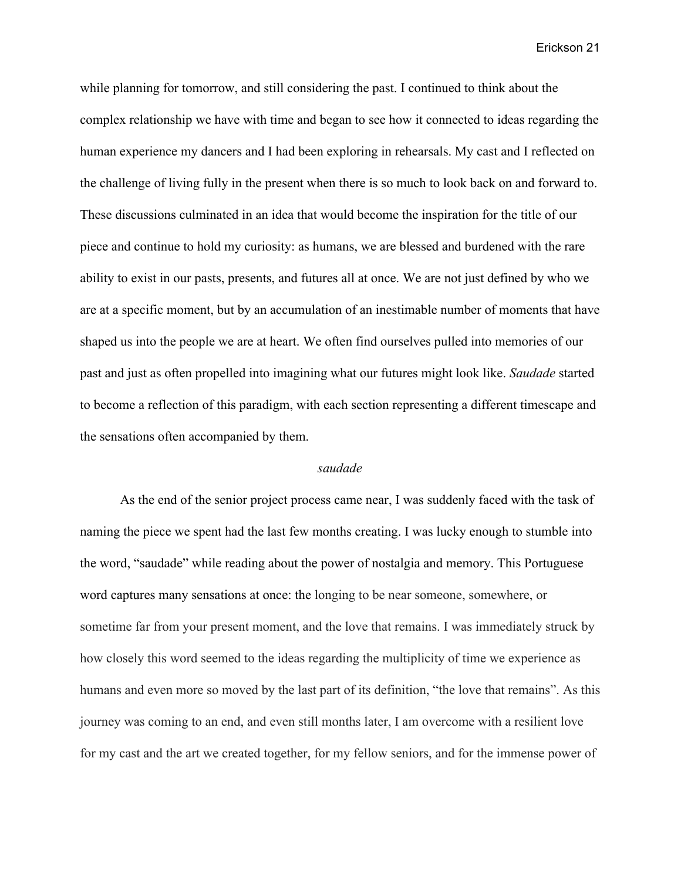while planning for tomorrow, and still considering the past. I continued to think about the complex relationship we have with time and began to see how it connected to ideas regarding the human experience my dancers and I had been exploring in rehearsals. My cast and I reflected on the challenge of living fully in the present when there is so much to look back on and forward to. These discussions culminated in an idea that would become the inspiration for the title of our piece and continue to hold my curiosity: as humans, we are blessed and burdened with the rare ability to exist in our pasts, presents, and futures all at once. We are not just defined by who we are at a specific moment, but by an accumulation of an inestimable number of moments that have shaped us into the people we are at heart. We often find ourselves pulled into memories of our past and just as often propelled into imagining what our futures might look like. *Saudade* started to become a reflection of this paradigm, with each section representing a different timescape and the sensations often accompanied by them.

#### *saudade*

As the end of the senior project process came near, I was suddenly faced with the task of naming the piece we spent had the last few months creating. I was lucky enough to stumble into the word, "saudade" while reading about the power of nostalgia and memory. This Portuguese word captures many sensations at once: the longing to be near someone, somewhere, or sometime far from your present moment, and the love that remains. I was immediately struck by how closely this word seemed to the ideas regarding the multiplicity of time we experience as humans and even more so moved by the last part of its definition, "the love that remains". As this journey was coming to an end, and even still months later, I am overcome with a resilient love for my cast and the art we created together, for my fellow seniors, and for the immense power of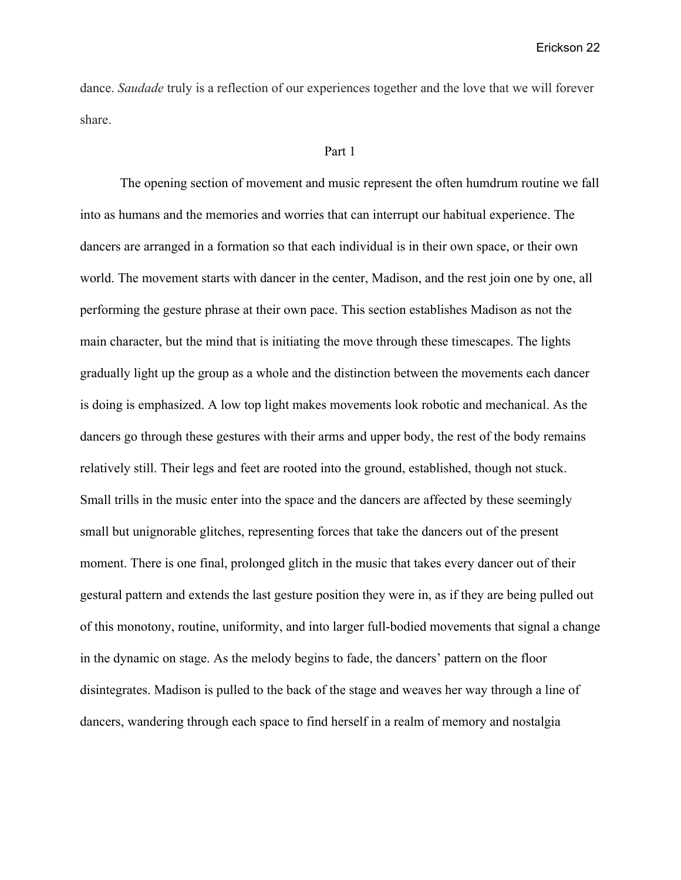dance. *Saudade* truly is a reflection of our experiences together and the love that we will forever share.

#### Part 1

The opening section of movement and music represent the often humdrum routine we fall into as humans and the memories and worries that can interrupt our habitual experience. The dancers are arranged in a formation so that each individual is in their own space, or their own world. The movement starts with dancer in the center, Madison, and the rest join one by one, all performing the gesture phrase at their own pace. This section establishes Madison as not the main character, but the mind that is initiating the move through these timescapes. The lights gradually light up the group as a whole and the distinction between the movements each dancer is doing is emphasized. A low top light makes movements look robotic and mechanical. As the dancers go through these gestures with their arms and upper body, the rest of the body remains relatively still. Their legs and feet are rooted into the ground, established, though not stuck. Small trills in the music enter into the space and the dancers are affected by these seemingly small but unignorable glitches, representing forces that take the dancers out of the present moment. There is one final, prolonged glitch in the music that takes every dancer out of their gestural pattern and extends the last gesture position they were in, as if they are being pulled out of this monotony, routine, uniformity, and into larger full-bodied movements that signal a change in the dynamic on stage. As the melody begins to fade, the dancers' pattern on the floor disintegrates. Madison is pulled to the back of the stage and weaves her way through a line of dancers, wandering through each space to find herself in a realm of memory and nostalgia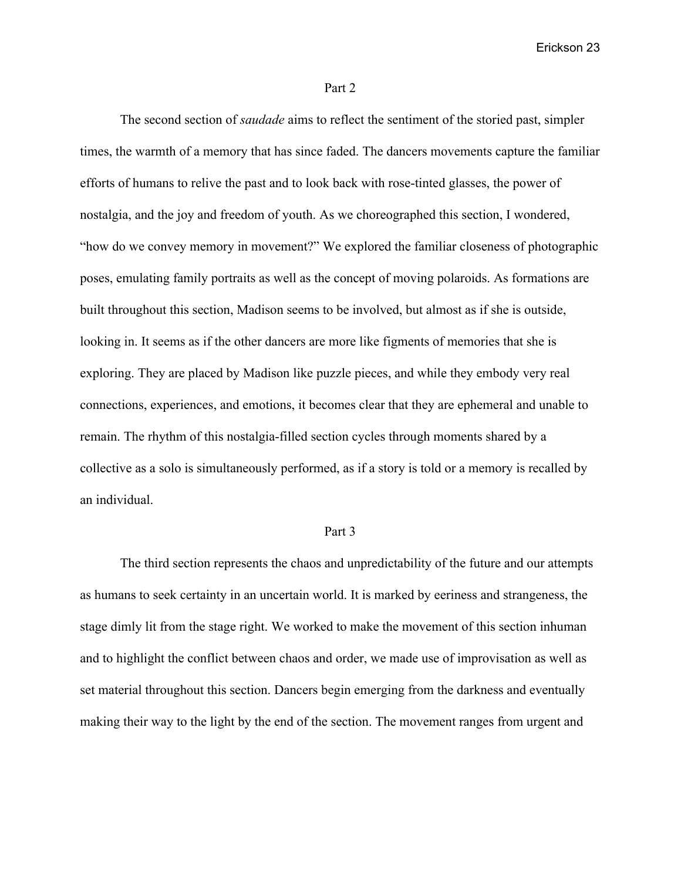#### Part 2

The second section of *saudade* aims to reflect the sentiment of the storied past, simpler times, the warmth of a memory that has since faded. The dancers movements capture the familiar efforts of humans to relive the past and to look back with rose-tinted glasses, the power of nostalgia, and the joy and freedom of youth. As we choreographed this section, I wondered, "how do we convey memory in movement?" We explored the familiar closeness of photographic poses, emulating family portraits as well as the concept of moving polaroids. As formations are built throughout this section, Madison seems to be involved, but almost as if she is outside, looking in. It seems as if the other dancers are more like figments of memories that she is exploring. They are placed by Madison like puzzle pieces, and while they embody very real connections, experiences, and emotions, it becomes clear that they are ephemeral and unable to remain. The rhythm of this nostalgia-filled section cycles through moments shared by a collective as a solo is simultaneously performed, as if a story is told or a memory is recalled by an individual.

#### Part 3

The third section represents the chaos and unpredictability of the future and our attempts as humans to seek certainty in an uncertain world. It is marked by eeriness and strangeness, the stage dimly lit from the stage right. We worked to make the movement of this section inhuman and to highlight the conflict between chaos and order, we made use of improvisation as well as set material throughout this section. Dancers begin emerging from the darkness and eventually making their way to the light by the end of the section. The movement ranges from urgent and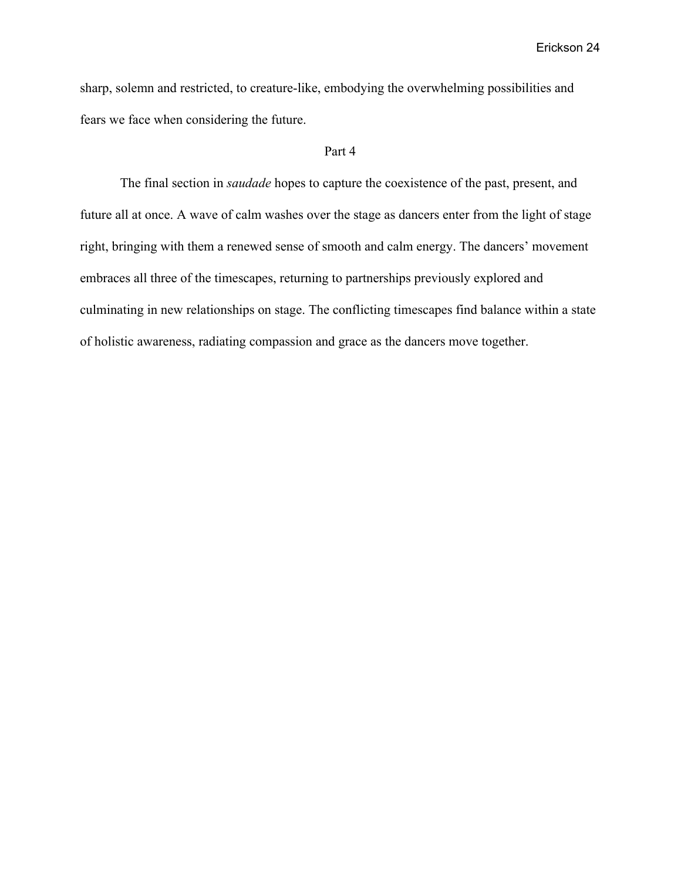sharp, solemn and restricted, to creature-like, embodying the overwhelming possibilities and fears we face when considering the future.

#### Part 4

The final section in *saudade* hopes to capture the coexistence of the past, present, and future all at once. A wave of calm washes over the stage as dancers enter from the light of stage right, bringing with them a renewed sense of smooth and calm energy. The dancers' movement embraces all three of the timescapes, returning to partnerships previously explored and culminating in new relationships on stage. The conflicting timescapes find balance within a state of holistic awareness, radiating compassion and grace as the dancers move together.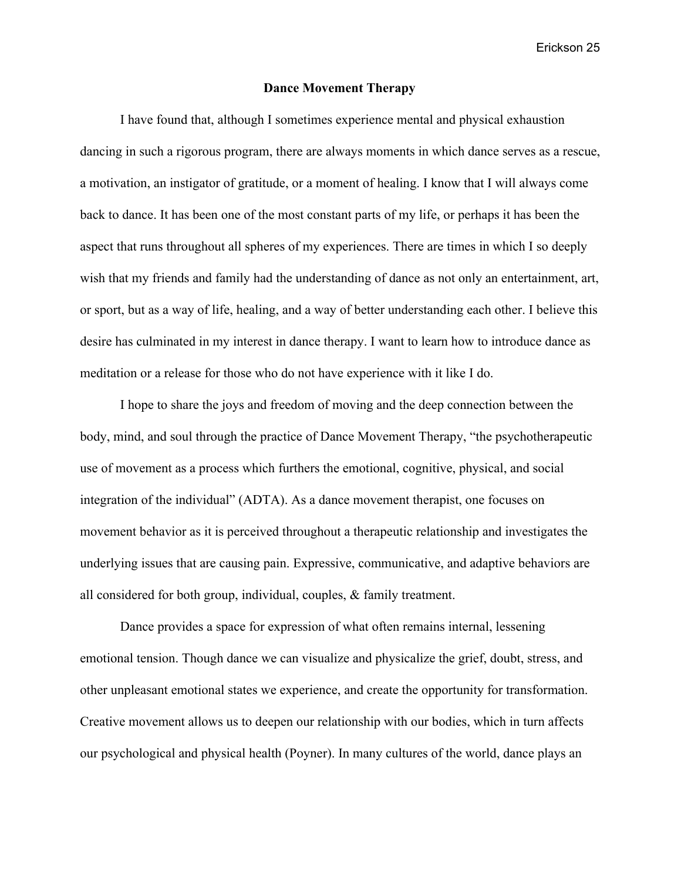#### **Dance Movement Therapy**

I have found that, although I sometimes experience mental and physical exhaustion dancing in such a rigorous program, there are always moments in which dance serves as a rescue, a motivation, an instigator of gratitude, or a moment of healing. I know that I will always come back to dance. It has been one of the most constant parts of my life, or perhaps it has been the aspect that runs throughout all spheres of my experiences. There are times in which I so deeply wish that my friends and family had the understanding of dance as not only an entertainment, art, or sport, but as a way of life, healing, and a way of better understanding each other. I believe this desire has culminated in my interest in dance therapy. I want to learn how to introduce dance as meditation or a release for those who do not have experience with it like I do.

I hope to share the joys and freedom of moving and the deep connection between the body, mind, and soul through the practice of Dance Movement Therapy, "the psychotherapeutic use of movement as a process which furthers the emotional, cognitive, physical, and social integration of the individual" (ADTA). As a dance movement therapist, one focuses on movement behavior as it is perceived throughout a therapeutic relationship and investigates the underlying issues that are causing pain. Expressive, communicative, and adaptive behaviors are all considered for both group, individual, couples, & family treatment.

Dance provides a space for expression of what often remains internal, lessening emotional tension. Though dance we can visualize and physicalize the grief, doubt, stress, and other unpleasant emotional states we experience, and create the opportunity for transformation. Creative movement allows us to deepen our relationship with our bodies, which in turn affects our psychological and physical health (Poyner). In many cultures of the world, dance plays an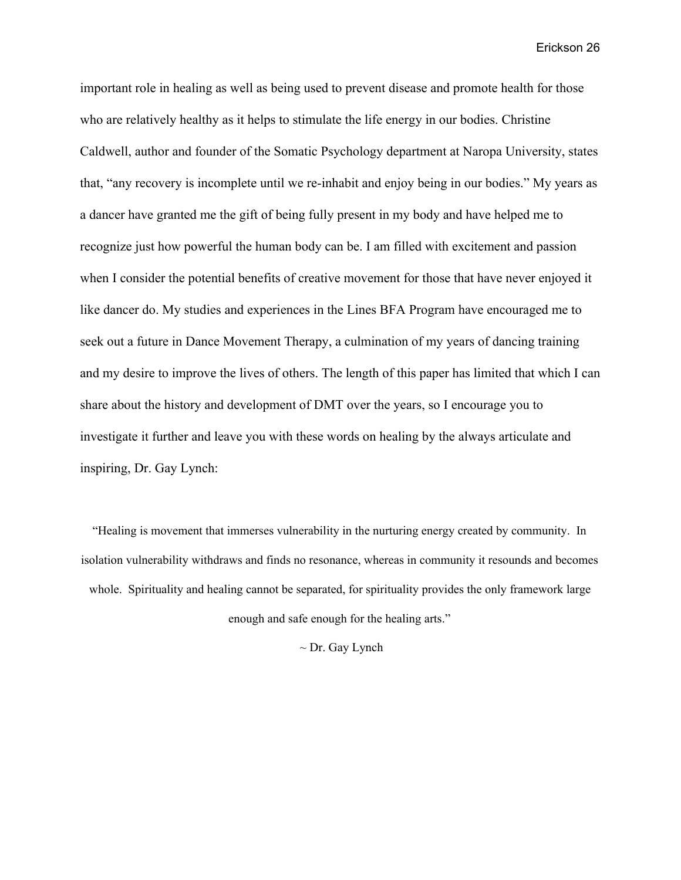important role in healing as well as being used to prevent disease and promote health for those who are relatively healthy as it helps to stimulate the life energy in our bodies. Christine Caldwell, author and founder of the Somatic Psychology department at Naropa University, states that, "any recovery is incomplete until we re-inhabit and enjoy being in our bodies." My years as a dancer have granted me the gift of being fully present in my body and have helped me to recognize just how powerful the human body can be. I am filled with excitement and passion when I consider the potential benefits of creative movement for those that have never enjoyed it like dancer do. My studies and experiences in the Lines BFA Program have encouraged me to seek out a future in Dance Movement Therapy, a culmination of my years of dancing training and my desire to improve the lives of others. The length of this paper has limited that which I can share about the history and development of DMT over the years, so I encourage you to investigate it further and leave you with these words on healing by the always articulate and inspiring, Dr. Gay Lynch:

"Healing is movement that immerses vulnerability in the nurturing energy created by community. In isolation vulnerability withdraws and finds no resonance, whereas in community it resounds and becomes whole. Spirituality and healing cannot be separated, for spirituality provides the only framework large enough and safe enough for the healing arts."

 $\sim$  Dr. Gay Lynch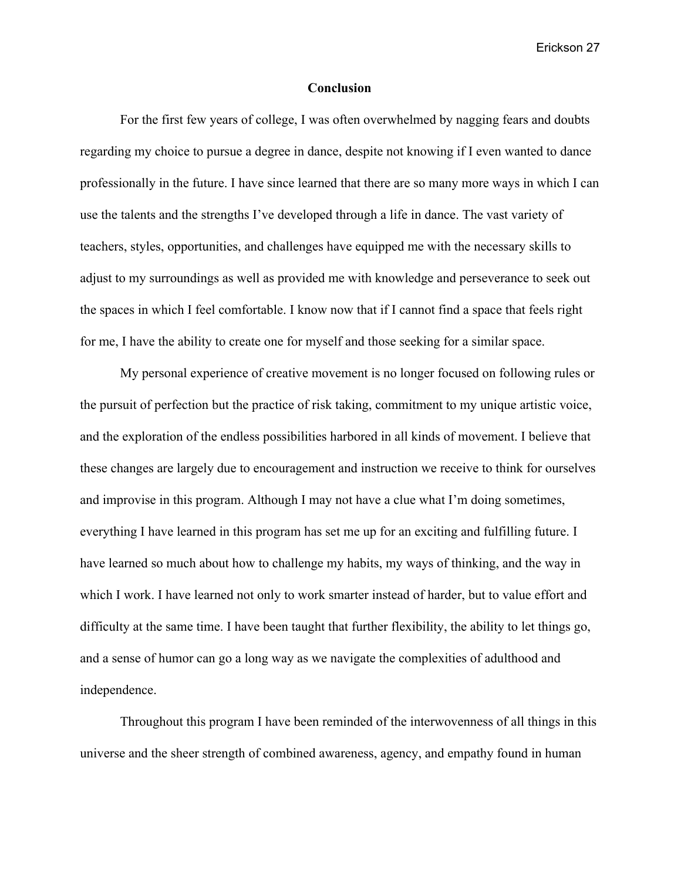#### **Conclusion**

For the first few years of college, I was often overwhelmed by nagging fears and doubts regarding my choice to pursue a degree in dance, despite not knowing if I even wanted to dance professionally in the future. I have since learned that there are so many more ways in which I can use the talents and the strengths I've developed through a life in dance. The vast variety of teachers, styles, opportunities, and challenges have equipped me with the necessary skills to adjust to my surroundings as well as provided me with knowledge and perseverance to seek out the spaces in which I feel comfortable. I know now that if I cannot find a space that feels right for me, I have the ability to create one for myself and those seeking for a similar space.

My personal experience of creative movement is no longer focused on following rules or the pursuit of perfection but the practice of risk taking, commitment to my unique artistic voice, and the exploration of the endless possibilities harbored in all kinds of movement. I believe that these changes are largely due to encouragement and instruction we receive to think for ourselves and improvise in this program. Although I may not have a clue what I'm doing sometimes, everything I have learned in this program has set me up for an exciting and fulfilling future. I have learned so much about how to challenge my habits, my ways of thinking, and the way in which I work. I have learned not only to work smarter instead of harder, but to value effort and difficulty at the same time. I have been taught that further flexibility, the ability to let things go, and a sense of humor can go a long way as we navigate the complexities of adulthood and independence.

Throughout this program I have been reminded of the interwovenness of all things in this universe and the sheer strength of combined awareness, agency, and empathy found in human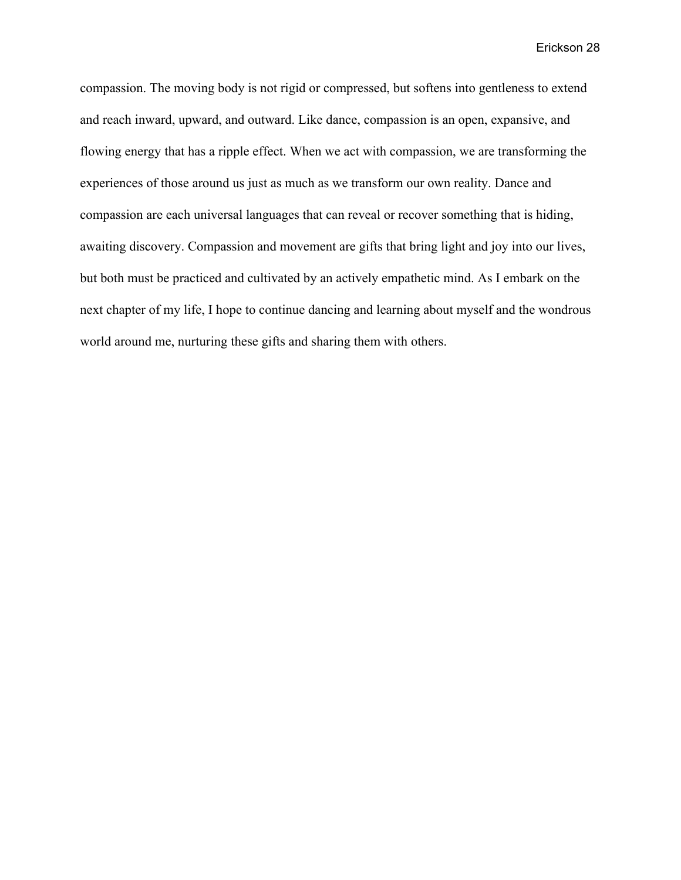compassion. The moving body is not rigid or compressed, but softens into gentleness to extend and reach inward, upward, and outward. Like dance, compassion is an open, expansive, and flowing energy that has a ripple effect. When we act with compassion, we are transforming the experiences of those around us just as much as we transform our own reality. Dance and compassion are each universal languages that can reveal or recover something that is hiding, awaiting discovery. Compassion and movement are gifts that bring light and joy into our lives, but both must be practiced and cultivated by an actively empathetic mind. As I embark on the next chapter of my life, I hope to continue dancing and learning about myself and the wondrous world around me, nurturing these gifts and sharing them with others.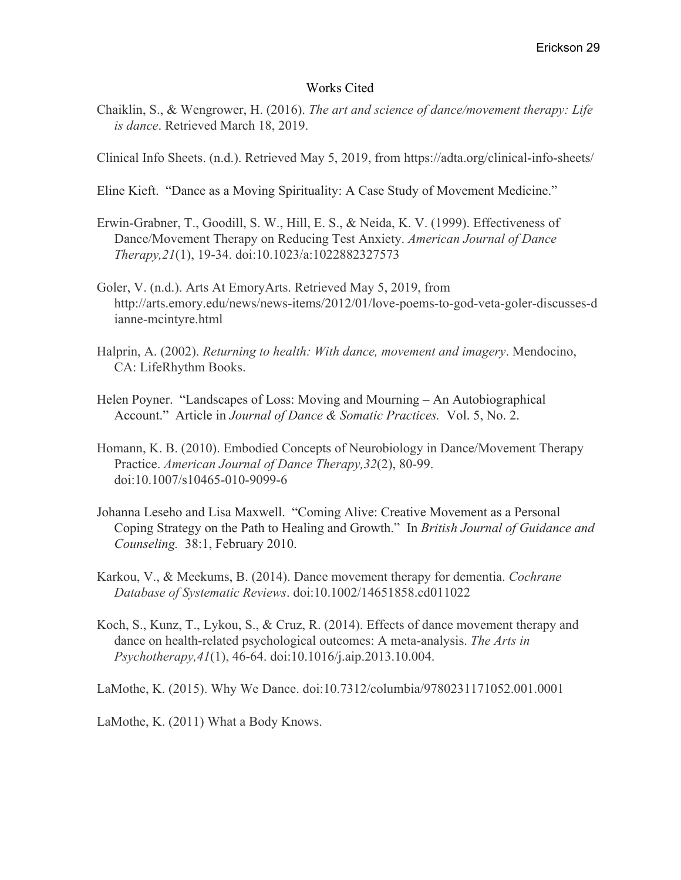### Works Cited

Chaiklin, S., & Wengrower, H. (2016). *The art and science of dance/movement therapy: Life is dance*. Retrieved March 18, 2019.

Clinical Info Sheets. (n.d.). Retrieved May 5, 2019, from https://adta.org/clinical-info-sheets/

Eline Kieft. "Dance as a Moving Spirituality: A Case Study of Movement Medicine."

- Erwin-Grabner, T., Goodill, S. W., Hill, E. S., & Neida, K. V. (1999). Effectiveness of Dance/Movement Therapy on Reducing Test Anxiety. *American Journal of Dance Therapy,21*(1), 19-34. doi:10.1023/a:1022882327573
- Goler, V. (n.d.). Arts At EmoryArts. Retrieved May 5, 2019, from http://arts.emory.edu/news/news-items/2012/01/love-poems-to-god-veta-goler-discusses-d ianne-mcintyre.html
- Halprin, A. (2002). *Returning to health: With dance, movement and imagery*. Mendocino, CA: LifeRhythm Books.
- Helen Poyner. "Landscapes of Loss: Moving and Mourning An Autobiographical Account." Article in *Journal of Dance & Somatic Practices.* Vol. 5, No. 2.
- Homann, K. B. (2010). Embodied Concepts of Neurobiology in Dance/Movement Therapy Practice. *American Journal of Dance Therapy,32*(2), 80-99. doi:10.1007/s10465-010-9099-6
- Johanna Leseho and Lisa Maxwell. "Coming Alive: Creative Movement as a Personal Coping Strategy on the Path to Healing and Growth." In *British Journal of Guidance and Counseling.* 38:1, February 2010.
- Karkou, V., & Meekums, B. (2014). Dance movement therapy for dementia. *Cochrane Database of Systematic Reviews*. doi:10.1002/14651858.cd011022
- Koch, S., Kunz, T., Lykou, S., & Cruz, R. (2014). Effects of dance movement therapy and dance on health-related psychological outcomes: A meta-analysis. *The Arts in Psychotherapy,41*(1), 46-64. doi:10.1016/j.aip.2013.10.004.

LaMothe, K. (2015). Why We Dance. doi:10.7312/columbia/9780231171052.001.0001

LaMothe, K. (2011) What a Body Knows.